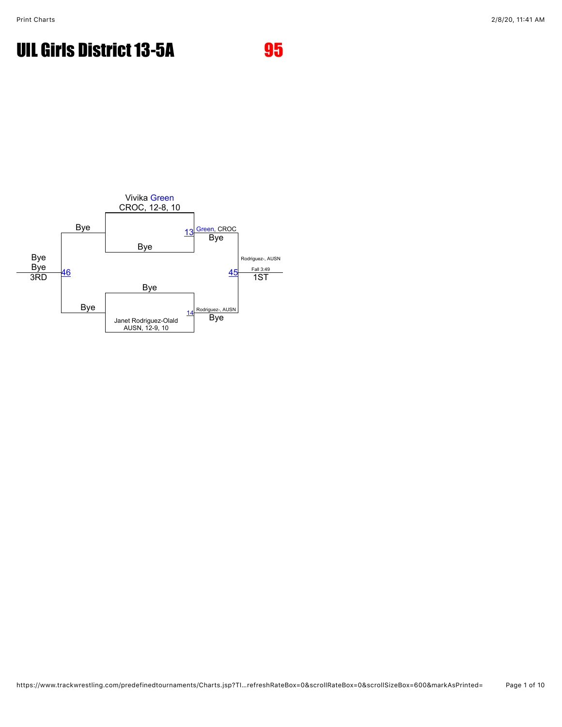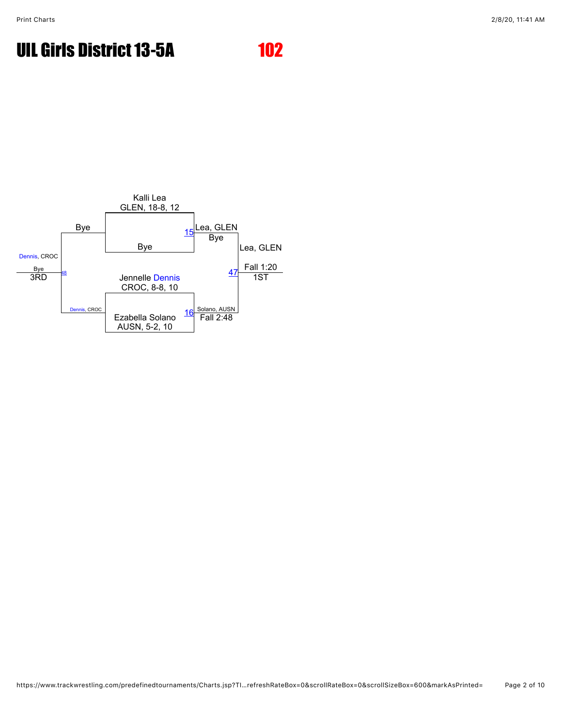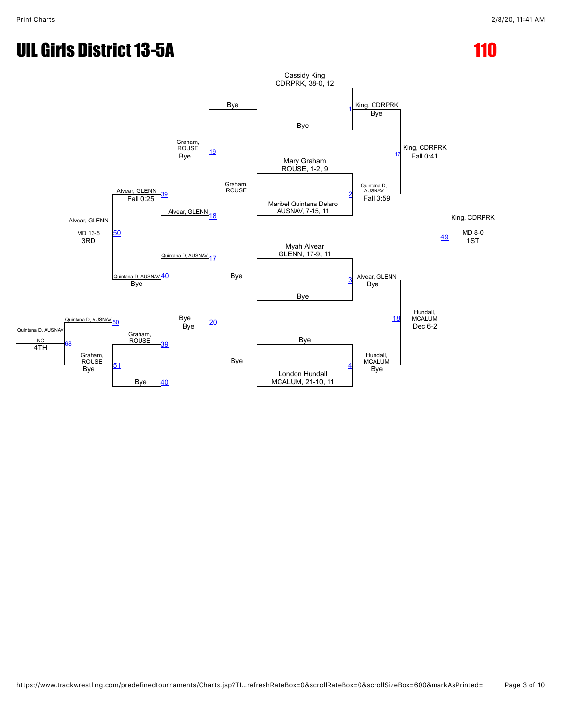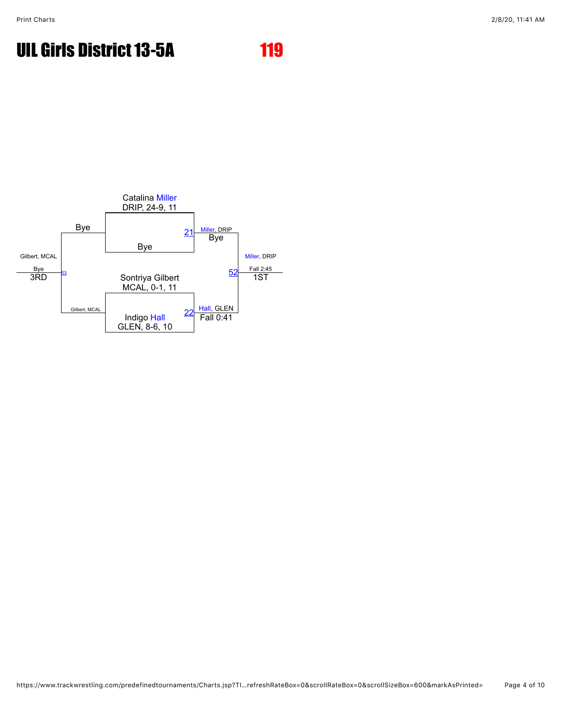

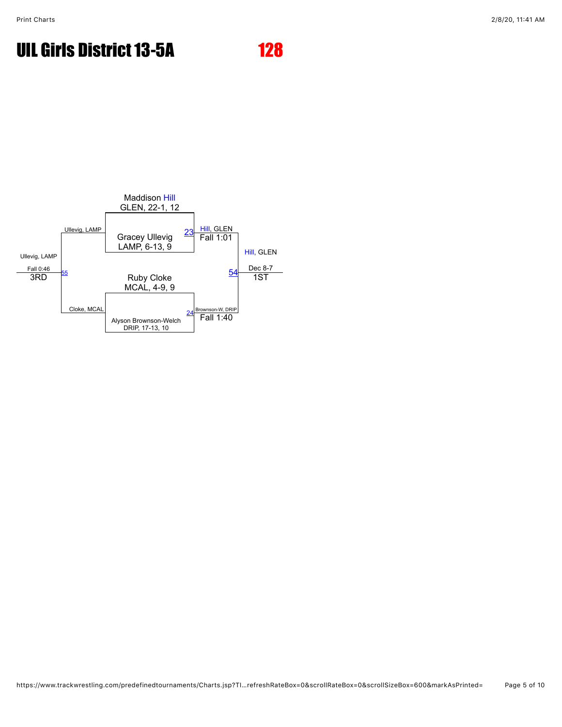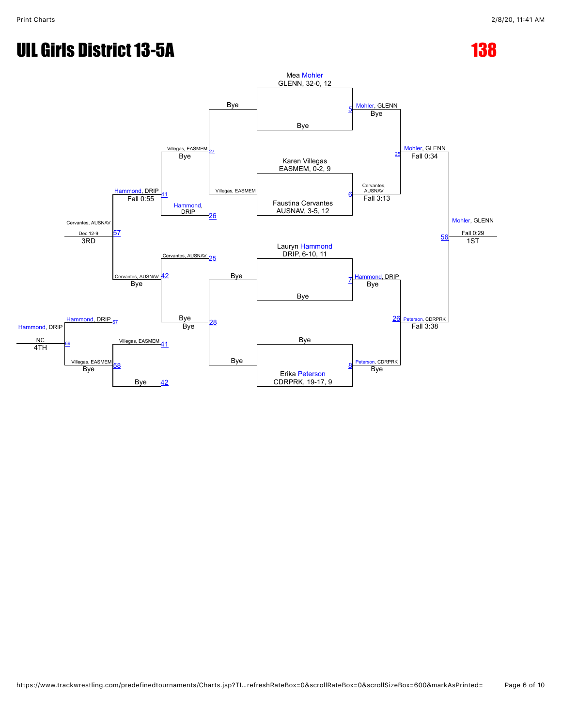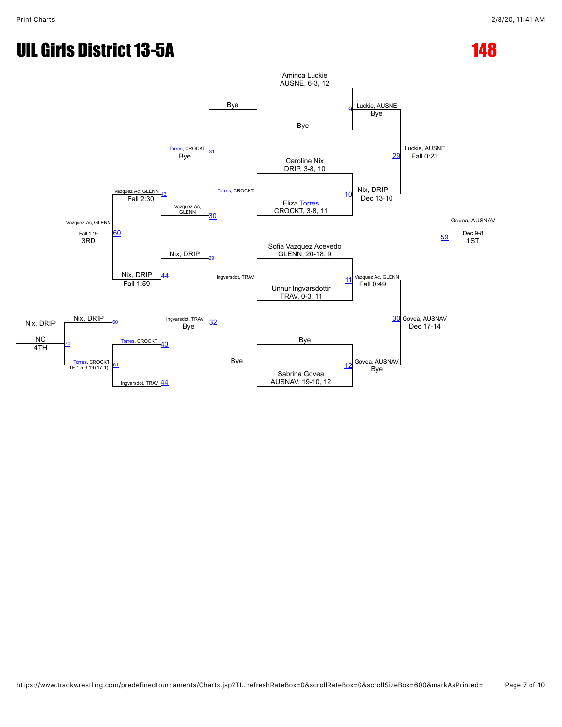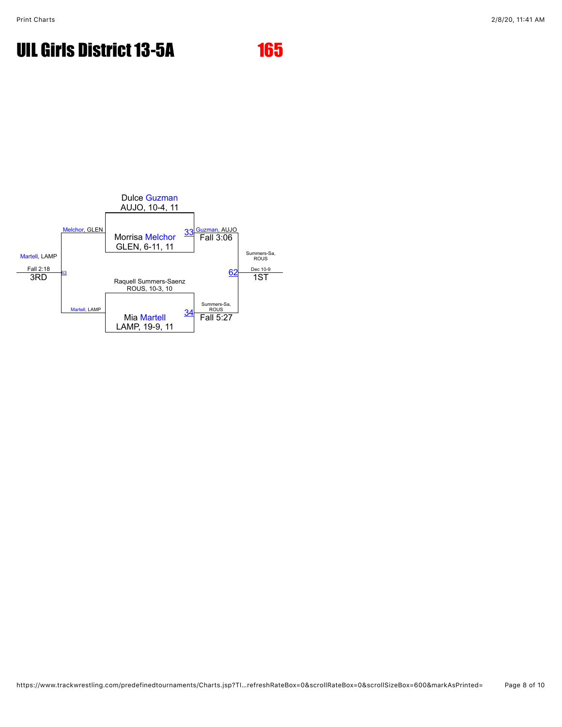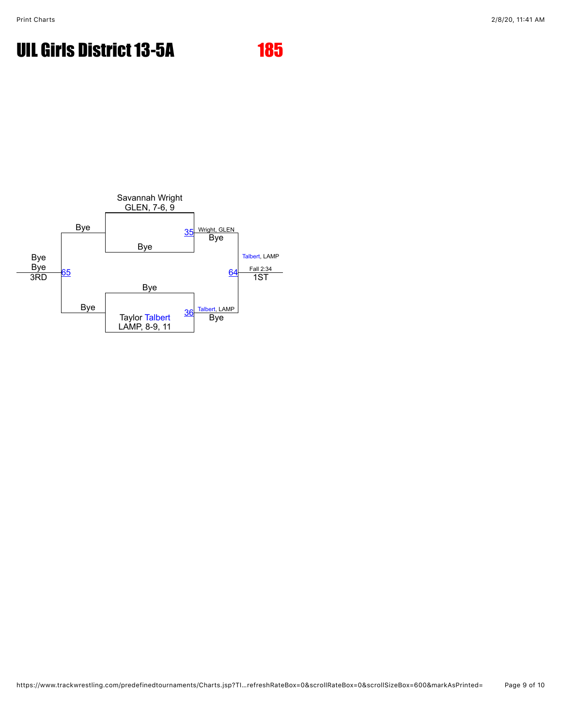